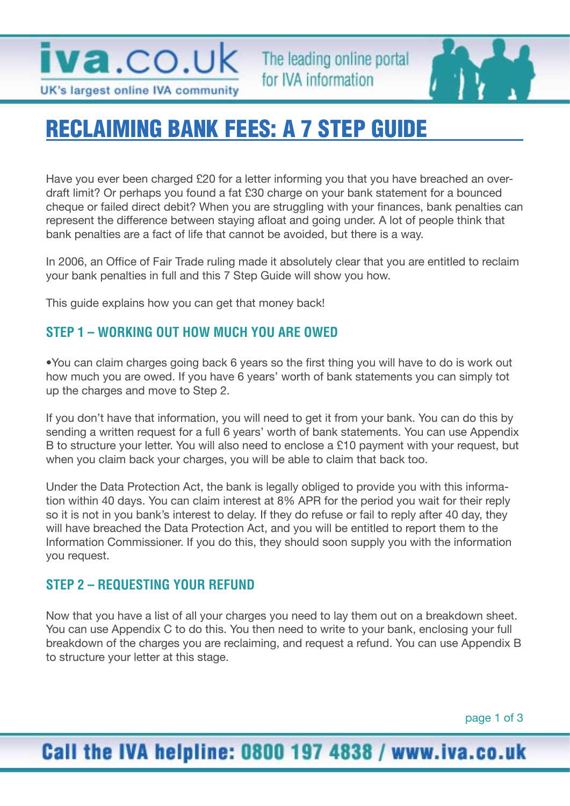

The leading online portal for IVA information



# RECLAIMING BANK FEES: A 7 STEP GUIDE

Have you ever been charged £20 for a letter informing you that you have breached an overdraft limit? Or perhaps you found a fat £30 charge on your bank statement for a bounced cheque or failed direct debit? When you are struggling with your finances, bank penalties can represent the difference between staying afloat and going under. A lot of people think that bank penalties are a fact of life that cannot be avoided, but there is a way.

In 2006, an Office of Fair Trade ruling made it absolutely clear that you are entitled to reclaim your bank penalties in full and this 7 Step Guide will show you how.

This guide explains how you can get that money back!

### **STEP 1 – WORKING OUT HOW MUCH YOU ARE OWED**

•You can claim charges going back 6 years so the first thing you will have to do is work out how much you are owed. If you have 6 years' worth of bank statements you can simply tot up the charges and move to Step 2.

If you don't have that information, you will need to get it from your bank. You can do this by sending a written request for a full 6 years' worth of bank statements. You can use Appendix B to structure your letter. You will also need to enclose a £10 payment with your request, but when you claim back your charges, you will be able to claim that back too.

Under the Data Protection Act, the bank is legally obliged to provide you with this information within 40 days. You can claim interest at 8% APR for the period you wait for their reply so it is not in you bank's interest to delay. If they do refuse or fail to reply after 40 day, they will have breached the Data Protection Act, and you will be entitled to report them to the Information Commissioner. If you do this, they should soon supply you with the information you request.

### **STEP 2 – REQUESTING YOUR REFUND**

Now that you have a list of all your charges you need to lay them out on a breakdown sheet. You can use Appendix C to do this. You then need to write to your bank, enclosing your full breakdown of the charges you are reclaiming, and request a refund. You can use Appendix B to structure your letter at this stage.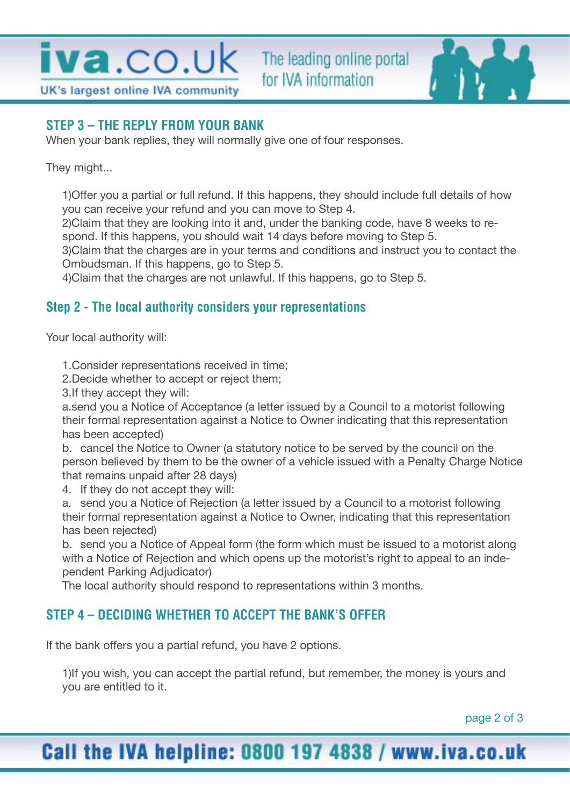



**STEP 3 – THE REPLY FROM YOUR BANK**

When your bank replies, they will normally give one of four responses.

They might...

1)Offer you a partial or full refund. If this happens, they should include full details of how you can receive your refund and you can move to Step 4.

2)Claim that they are looking into it and, under the banking code, have 8 weeks to respond. If this happens, you should wait 14 days before moving to Step 5.

3)Claim that the charges are in your terms and conditions and instruct you to contact the Ombudsman. If this happens, go to Step 5.

4)Claim that the charges are not unlawful. If this happens, go to Step 5.

### **Step 2 - The local authority considers your representations**

Your local authority will:

1.Consider representations received in time;

2.Decide whether to accept or reject them;

3.If they accept they will:

a.send you a Notice of Acceptance (a letter issued by a Council to a motorist following their formal representation against a Notice to Owner indicating that this representation has been accepted)

b. cancel the Notice to Owner (a statutory notice to be served by the council on the person believed by them to be the owner of a vehicle issued with a Penalty Charge Notice that remains unpaid after 28 days)

4. If they do not accept they will:

a. send you a Notice of Rejection (a letter issued by a Council to a motorist following their formal representation against a Notice to Owner, indicating that this representation has been rejected)

b. send you a Notice of Appeal form (the form which must be issued to a motorist along with a Notice of Rejection and which opens up the motorist's right to appeal to an independent Parking Adjudicator)

The local authority should respond to representations within 3 months.

## **STEP 4 – DECIDING WHETHER TO ACCEPT THE BANK'S OFFER**

If the bank offers you a partial refund, you have 2 options.

1)If you wish, you can accept the partial refund, but remember, the money is yours and you are entitled to it.

page 2 of 3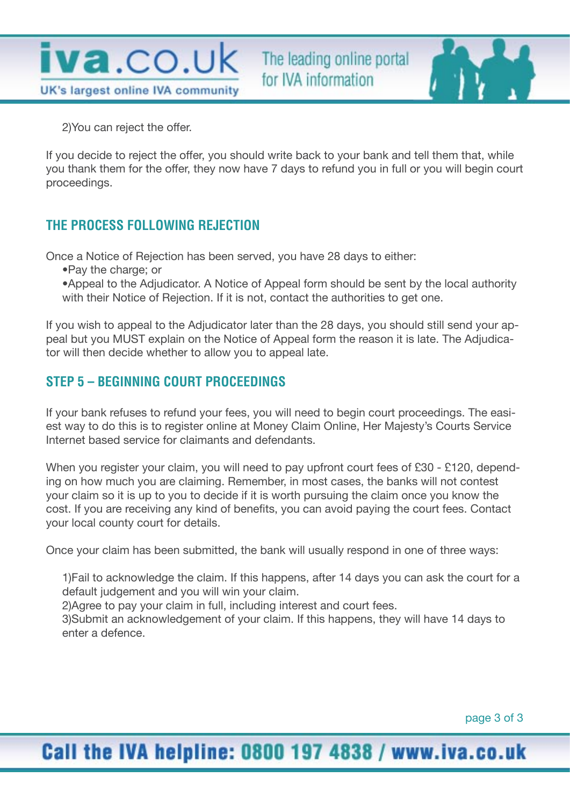

The leading online portal for IVA information



2)You can reject the offer.

If you decide to reject the offer, you should write back to your bank and tell them that, while you thank them for the offer, they now have 7 days to refund you in full or you will begin court proceedings.

### **THE PROCESS FOLLOWING REJECTION**

Once a Notice of Rejection has been served, you have 28 days to either:

•Pay the charge; or

•Appeal to the Adjudicator. A Notice of Appeal form should be sent by the local authority with their Notice of Rejection. If it is not, contact the authorities to get one.

If you wish to appeal to the Adjudicator later than the 28 days, you should still send your appeal but you MUST explain on the Notice of Appeal form the reason it is late. The Adjudicator will then decide whether to allow you to appeal late.

### **STEP 5 – BEGINNING COURT PROCEEDINGS**

If your bank refuses to refund your fees, you will need to begin court proceedings. The easiest way to do this is to register online at Money Claim Online, Her Majesty's Courts Service Internet based service for claimants and defendants.

When you register your claim, you will need to pay upfront court fees of £30 - £120, depending on how much you are claiming. Remember, in most cases, the banks will not contest your claim so it is up to you to decide if it is worth pursuing the claim once you know the cost. If you are receiving any kind of benefits, you can avoid paying the court fees. Contact your local county court for details.

Once your claim has been submitted, the bank will usually respond in one of three ways:

1)Fail to acknowledge the claim. If this happens, after 14 days you can ask the court for a default judgement and you will win your claim.

2)Agree to pay your claim in full, including interest and court fees.

3)Submit an acknowledgement of your claim. If this happens, they will have 14 days to enter a defence.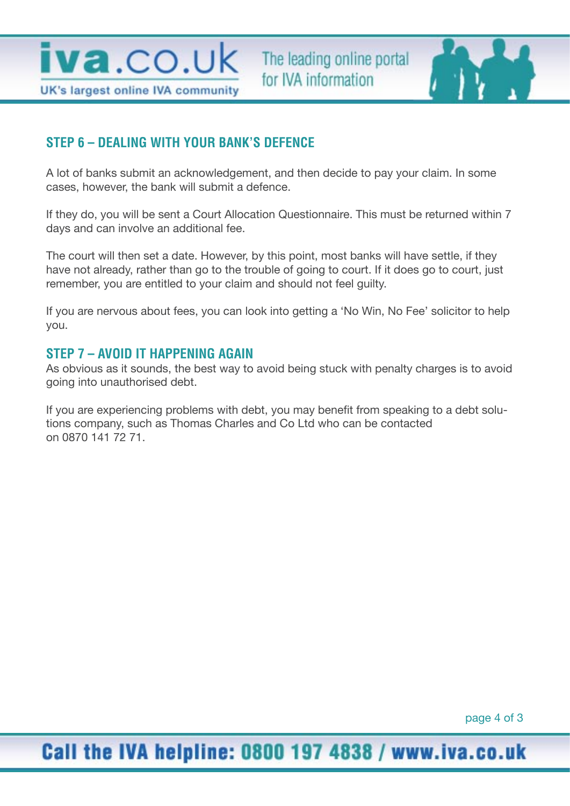**iva**.co.uk UK's largest online IVA community



### **STEP 6 – DEALING WITH YOUR BANK'S DEFENCE**

A lot of banks submit an acknowledgement, and then decide to pay your claim. In some cases, however, the bank will submit a defence.

If they do, you will be sent a Court Allocation Questionnaire. This must be returned within 7 days and can involve an additional fee.

The court will then set a date. However, by this point, most banks will have settle, if they have not already, rather than go to the trouble of going to court. If it does go to court, just remember, you are entitled to your claim and should not feel guilty.

If you are nervous about fees, you can look into getting a 'No Win, No Fee' solicitor to help you.

#### **STEP 7 – AVOID IT HAPPENING AGAIN**

As obvious as it sounds, the best way to avoid being stuck with penalty charges is to avoid going into unauthorised debt.

If you are experiencing problems with debt, you may benefit from speaking to a debt solutions company, such as Thomas Charles and Co Ltd who can be contacted on 0870 141 72 71.

page 4 of 3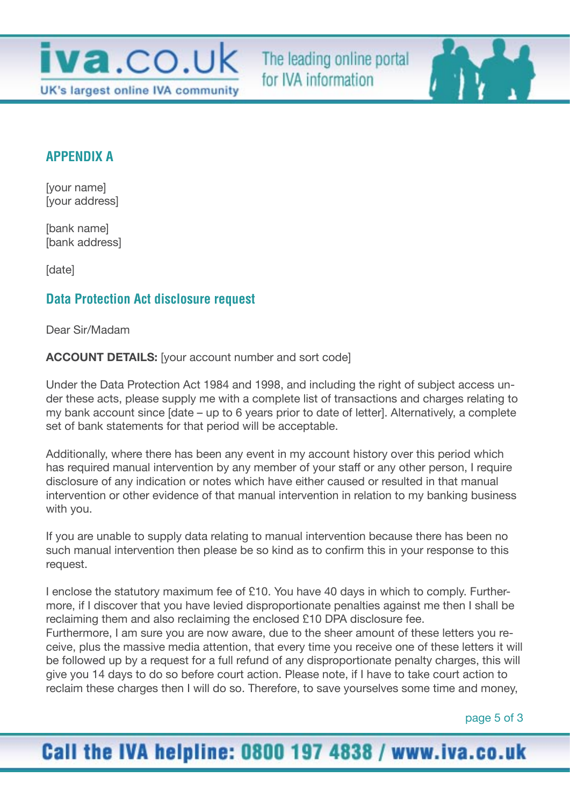

The leading online portal for IVA information

### **APPENDIX A**

[your name] [your address]

[bank name] [bank address]

[date]

### **Data Protection Act disclosure request**

Dear Sir/Madam

**ACCOUNT DETAILS:** [your account number and sort code]

Under the Data Protection Act 1984 and 1998, and including the right of subject access under these acts, please supply me with a complete list of transactions and charges relating to my bank account since [date – up to 6 years prior to date of letter]. Alternatively, a complete set of bank statements for that period will be acceptable.

Additionally, where there has been any event in my account history over this period which has required manual intervention by any member of your staff or any other person, I require disclosure of any indication or notes which have either caused or resulted in that manual intervention or other evidence of that manual intervention in relation to my banking business with you.

If you are unable to supply data relating to manual intervention because there has been no such manual intervention then please be so kind as to confirm this in your response to this request.

I enclose the statutory maximum fee of £10. You have 40 days in which to comply. Furthermore, if I discover that you have levied disproportionate penalties against me then I shall be reclaiming them and also reclaiming the enclosed £10 DPA disclosure fee. Furthermore, I am sure you are now aware, due to the sheer amount of these letters you receive, plus the massive media attention, that every time you receive one of these letters it will be followed up by a request for a full refund of any disproportionate penalty charges, this will give you 14 days to do so before court action. Please note, if I have to take court action to reclaim these charges then I will do so. Therefore, to save yourselves some time and money,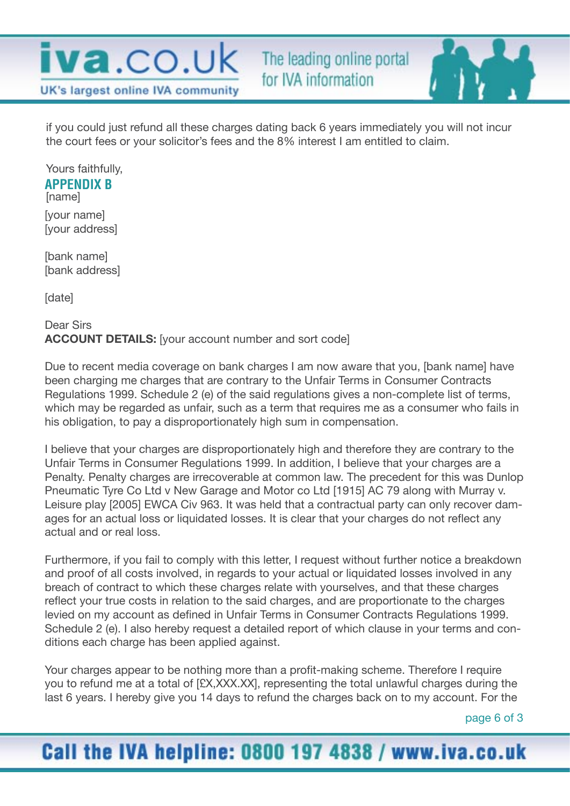



Yours faithfully, [name] **APPENDIX B**

[your name] [your address]

[bank name] [bank address]

[date]

#### Dear Sirs **ACCOUNT DETAILS:** [your account number and sort code]

Due to recent media coverage on bank charges I am now aware that you, [bank name] have been charging me charges that are contrary to the Unfair Terms in Consumer Contracts Regulations 1999. Schedule 2 (e) of the said regulations gives a non-complete list of terms, which may be regarded as unfair, such as a term that requires me as a consumer who fails in his obligation, to pay a disproportionately high sum in compensation.

I believe that your charges are disproportionately high and therefore they are contrary to the Unfair Terms in Consumer Regulations 1999. In addition, I believe that your charges are a Penalty. Penalty charges are irrecoverable at common law. The precedent for this was Dunlop Pneumatic Tyre Co Ltd v New Garage and Motor co Ltd [1915] AC 79 along with Murray v. Leisure play [2005] EWCA Civ 963. It was held that a contractual party can only recover damages for an actual loss or liquidated losses. It is clear that your charges do not reflect any actual and or real loss.

Furthermore, if you fail to comply with this letter, I request without further notice a breakdown and proof of all costs involved, in regards to your actual or liquidated losses involved in any breach of contract to which these charges relate with yourselves, and that these charges reflect your true costs in relation to the said charges, and are proportionate to the charges levied on my account as defined in Unfair Terms in Consumer Contracts Regulations 1999. Schedule 2 (e). I also hereby request a detailed report of which clause in your terms and conditions each charge has been applied against.

Your charges appear to be nothing more than a profit-making scheme. Therefore I require you to refund me at a total of [£X,XXX.XX], representing the total unlawful charges during the last 6 years. I hereby give you 14 days to refund the charges back on to my account. For the

page 6 of 3